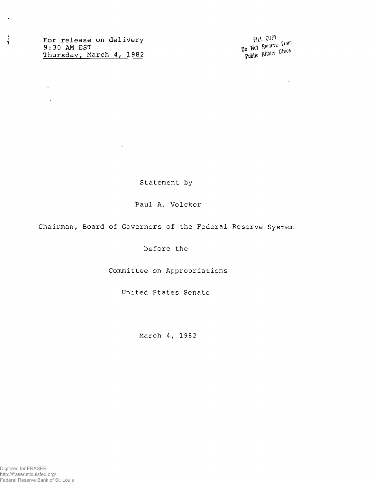For release on delivery file COPY 9:30 AM EST Thursday, March 4, 1982

 $\sim 6$ 

 $\frac{1}{3}$ 

 $\sim$ 

 $\mathcal{L}^{\pm}$ 

Do Not Remeve From Public Affairs Office

 $\sim$ 

Statement by

Paul A. Volcker

Chairman, Board of Governors of the Federal Reserve System

before the

Committee on Appropriations

United States Senate

March 4, 1982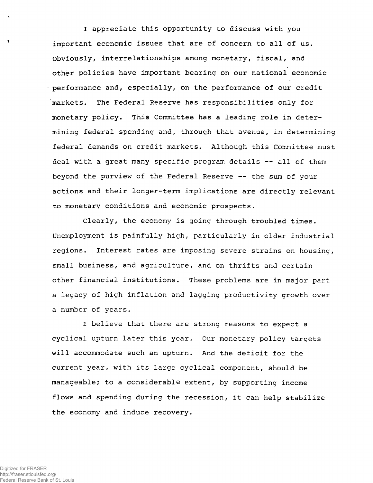**I appreciate this opportunity to discuss with you important economic issues that are of concern to all of us. Obviously, interrelationships among monetary, fiscal, and other policies have important bearing on our national economic performance and, especially, on the performance of our credit markets. The Federal Reserve has responsibilities only for monetary policy. This Committee has a leading role in determining federal spending and, through that avenue, in determining federal demands on credit markets. Although this Committee must deal with a great many specific program details — all of them beyond the purview of the Federal Reserve -- the sum of your actions and their longer-term implications are directly relevant to monetary conditions and economic prospects.**

**Clearly, the economy is going through troubled times. Unemployment is painfully high, particularly in older industrial regions. Interest rates are imposing severe strains on housing, small business, and agriculture, and on thrifts and certain other financial institutions. These problems are in major part a legacy of high inflation and lagging productivity growth over a number of years.**

**I believe that there are strong reasons to expect a cyclical upturn later this year. Our monetary policy targets will accommodate such an upturn. And the deficit for the current year, with its large cyclical component, should be manageable; to a considerable extent, by supporting income flows and spending during the recession, it can help stabilize the economy and induce recovery.**

 $\mathbf{Y}$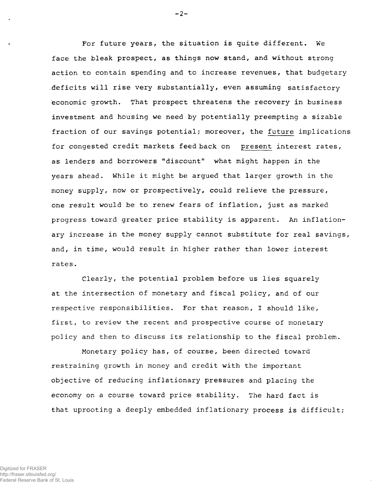For future years, the situation is quite different. We face the bleak prospect, as things now stand, and without strong action to contain spending and to increase revenues, that budgetary .deficits will rise very substantially, even assuming satisfactory economic growth. That prospect threatens the recovery in business investment and housing we need by potentially preempting a sizable fraction of our savings potential; moreover, the future implications for congested credit markets feedback on present interest rates, as lenders and borrowers "discount" what might happen in the years ahead. While it might be argued that larger growth in the money supply, now or prospectively, could relieve the pressure, one result would be to renew fears of inflation, just as marked progress toward greater price stability is apparent. An inflationary increase in the money supply cannot substitute for real savings, and, in time, would result in higher rather than lower interest rates.

Clearly, the potential problem before us lies squarely at the intersection of monetary and fiscal policy, and of our respective responsibilities. For that reason, I should like, first, to review the recent and prospective course of monetary policy and then to discuss its relationship to the fiscal problem.

Monetary policy has, of course, been directed toward restraining growth in money and credit with the important objective of reducing inflationary pressures and placing the economy on a course toward price stability. The hard fact is that uprooting a deeply embedded inflationary process is difficult;

Digitized for FRASER

http://fraser.stlouisfed.org/ Federal Reserve Bank of St. Louis  $-2-$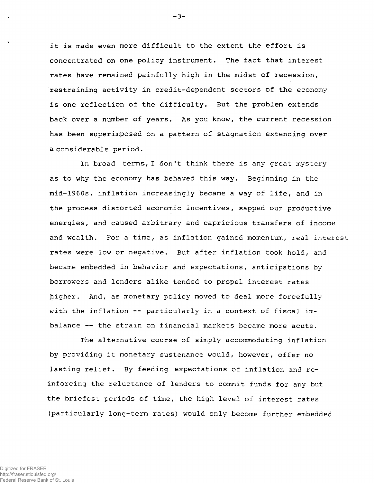it is made even more difficult to the extent the effort is concentrated on one policy instrument. The fact that interest rates have remained painfully high in the midst of recession, restraining activity in credit-dependent sectors of the economy is one reflection of the difficulty. But the problem extends back over a number of years. As you know, the current recession has been superimposed on a pattern of stagnation extending over a considerable period.

In broad terms, I don't think there is any great mystery as to why the economy has behaved this way. Beginning in the mid-1960s, inflation increasingly became a way of life, and in the process distorted economic incentives, sapped our productive energies, and caused arbitrary and capricious transfers of income and wealth. For a time, as inflation gained momentum, real interest rates were low or negative. But after inflation took hold, and became embedded in behavior and expectations, anticipations by borrowers and lenders alike tended to propel interest rates higher. And, as monetary policy moved to deal more forcefully with the inflation -- particularly in a context of fiscal imbalance — the strain on financial markets became more acute.

The alternative course of simply accommodating inflation by providing it monetary sustenance would, however, offer no lasting relief. By feeding expectations of inflation and reinforcing the reluctance of lenders to commit funds for any but the briefest periods of time, the high level of interest rates (particularly long-term rates) would only become further embedded

 $-3-$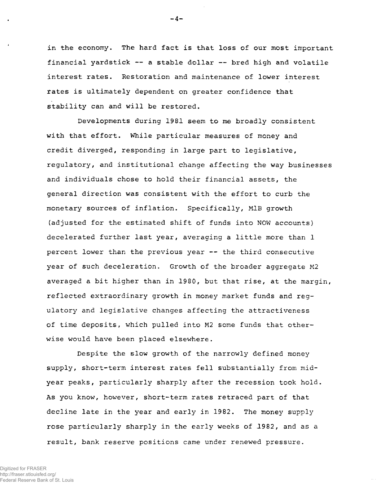in the economy. The hard fact is that loss of our most important financial yardstick — a stable dollar — bred high and volatile interest rates. Restoration and maintenance of lower interest rates is ultimately dependent on greater confidence that stability can and will be restored.

Developments during 1981 seem to me broadly consistent with that effort. While particular measures of money and credit diverged, responding in large part to legislative, regulatory, and institutional change affecting the way businesses and individuals chose to hold their financial assets, the general direction was consistent with the effort to curb the monetary sources of inflation. Specifically, M1B growth (adjusted for the estimated shift of funds into NOW accounts) decelerated further last year, averaging a little more than 1 percent lower than the previous year — the third consecutive year of such deceleration. Growth of the broader aggregate M2 averaged a bit higher than in 1980, but that rise, at the margin, reflected extraordinary growth in money market funds and regulatory and legislative changes affecting the attractiveness of time deposits, which pulled into M2 some funds that otherwise would have been placed elsewhere.

Despite the slow growth of the narrowly defined money supply, short-term interest rates fell substantially from midyear peaks, particularly sharply after the recession took hold. As you know, however, short-term rates retraced part of that decline late in the year and early in 1982. The money supply rose particularly sharply in the early weeks of 1982, and as a result, bank reserve positions came under renewed pressure.

-4-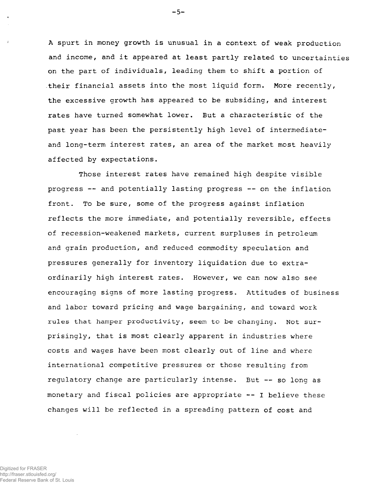A spurt in money growth is unusual in a context of weak production and income, and it appeared at least partly related to uncertainties on the part of individuals, leading them to shift a portion of .their financial assets into the most liquid form. More recently, the excessive growth has appeared to be subsiding, and interest rates have turned somewhat lower. But a characteristic of the past year has been the persistently high level of intermediateand long-term interest rates, an area of the market most heavily affected by expectations.

Those interest rates have remained high despite visible progress — and potentially lasting progress — on the inflation front. To be sure, some of the progress against inflation reflects the more immediate, and potentially reversible, effects of recession-weakened markets, current surpluses in petroleum and grain production, and reduced commodity speculation and pressures generally for inventory liquidation due to extraordinarily high interest rates. However, we can now also see encouraging signs of more lasting progress. Attitudes of business and labor toward pricing and wage bargaining, and toward work rules that hamper productivity, seem to be changing. Not surprisingly, that is most clearly apparent in industries where costs and wages have been most clearly out of line and where international competitive pressures or those resulting from regulatory change are particularly intense. But — so long as monetary and fiscal policies are appropriate -- I believe these changes will be reflected in a spreading pattern of cost and

 $-5 -$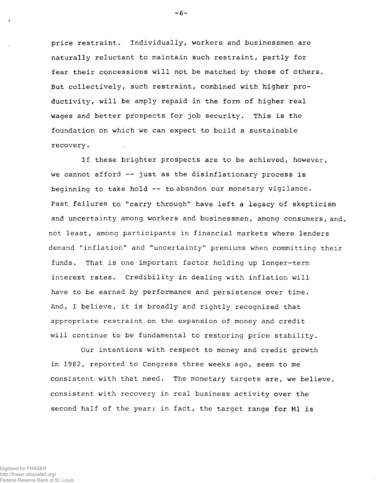price restraint. Individually, workers and businessmen are naturally reluctant to maintain such restraint, partly for fear their concessions will not be matched by those of others. But collectively, such restraint, combined with higher productivity, will be amply repaid in the form of higher real wages and better prospects for job security. This is the foundation on which we can expect to build a sustainable recovery.

If these brighter prospects are to be achieved, however, we cannot afford  $-$  just as the disinflationary process is beginning to take hold — to abandon our monetary vigilance. Past failures to "carry through" have left a legacy of skepticism and uncertainty among workers and businessmen, among consumers, and, not least, among participants in financial markets where lenders demand "inflation" and "uncertainty" premiums when committing their funds. That is one important factor holding up longer-term interest rates. Credibility in dealing with inflation will have to be earned by performance and persistence over time. And, I believe, it is broadly and rightly recognized that **appropriate restraint** on the expansion of money and credit will continue to be fundamental to restoring price stability.

Our intentions with respect to money and credit growth in 1982, reported to Congress three weeks ago, seem to me consistent with that need. The monetary targets are, we believe, consistent with recovery in real business activity over the second half of the year; in fact, the target range for Ml is

 $-6-$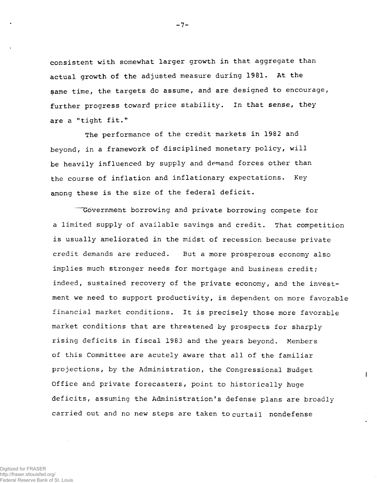consistent with somewhat larger growth in that aggregate than actual growth of the adjusted measure during 1981. At the same time, the targets do assume, and are designed to encourage, further progress toward price stability. In that sense, they are a "tight fit."

The performance of the credit markets in 1982 and beyond, in a framework of disciplined monetary policy, will be heavily influenced by supply and demand forces other than the course of inflation and inflationary expectations. Key among these is the size of the federal deficit.

Government borrowing and private borrowing compete for a limited supply of available savings and credit. That competition is usually ameliorated in the midst of recession because private credit demands are reduced. But a more prosperous economy also implies much stronger needs for mortgage and business credit; indeed, sustained recovery of the private economy, and the investment we need to support productivity, is dependent on more favorable financial market conditions. It is precisely those more favorable market conditions that are threatened by prospects for sharply rising deficits in fiscal 1983 and the years beyond. Members of this Committee are acutely aware that all of the familiar projections, by the Administration, the Congressional Budget Office and private forecasters, point to historically huge deficits, assuming the Administration's defense plans are broadly carried out and no new steps are taken to curtail nondefense

 $\mathbf{I}$ 

Digitized for FRASER http://fraser.stlouisfed.org/ Federal Reserve Bank of St. Louis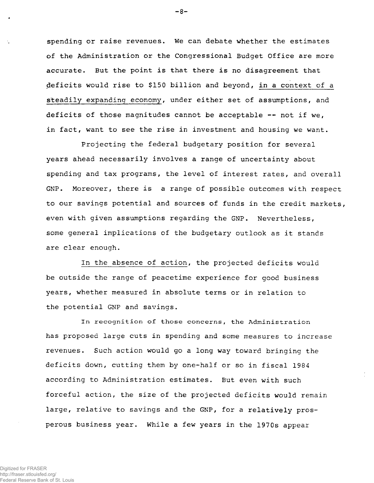spending or raise revenues. We can debate whether the estimates of the Administration or the Congressional Budget Office are more accurate. But the point is that there is no disagreement that deficits would rise to \$150 billion and beyond, in a context of a steadily expanding economy, under either set of assumptions, and deficits of those magnitudes cannot be acceptable — not if we, in fact, want to see the rise in investment and housing we want.

Projecting the federal budgetary position for several years ahead necessarily involves a range of uncertainty about spending and tax programs, the level of interest rates, and overall GNP. Moreover, there is a range of possible outcomes with respect to our savings potential and sources of funds in the credit markets, even with given assumptions regarding the GNP. Nevertheless, some general implications of the budgetary outlook as it stands are clear enough.

In the absence of action, the projected deficits would be outside the range of peacetime experience for good business years, whether measured in absolute terms or in relation to the potential GNP and savings.

**In recognitio n of those concerns, the Administratio n** has proposed large cuts in spending and some measures to increase revenues. Such action would go a long way toward bringing the deficits down, cutting them by one-half or so in fiscal 1984 according to Administration estimates. But even with such forceful action, the size of the projected deficits would remain large, relative to savings and the GNP, for a relatively prosperous business year. While a few years in the 1970s appear

 $-8-$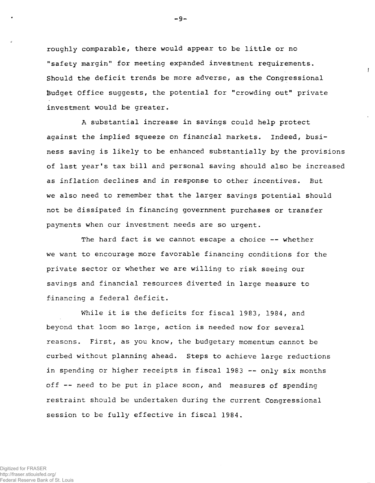roughly comparable, there would appear to be little or no "safety margin" for meeting expanded investment requirements. Should the deficit trends be more adverse, as the Congressional Budget Office suggests, the potential for "crowding out" private investment would be greater.

!

A substantial increase in savings could help protect against the implied squeeze on financial markets. Indeed, business saving is likely to be enhanced substantially by the provisions of last year's tax bill and personal saving should also be increased as inflation declines and in response to other incentives. But we also need to remember that the larger savings potential should not be dissipated in financing government purchases or transfer payments when our investment needs are so urgent.

The hard fact is we cannot escape a choice -- whether we want to encourage more favorable financing conditions for the private sector or whether we are willing to risk seeing our savings and financial resources diverted in large measure to financing a federal deficit.

While it is the deficits for fiscal 1983, 1984, and beyond that loom so large, action is needed now for several reasons. First, as you know, the budgetary momentum cannot be curbed without planning ahead. Steps to achieve large reductions in spending or higher receipts in fiscal 1983 — only six months off -- need to be put in place soon, and measures of spending restraint should be undertaken during the current Congressional session to be fully effective in fiscal 1984.

-9-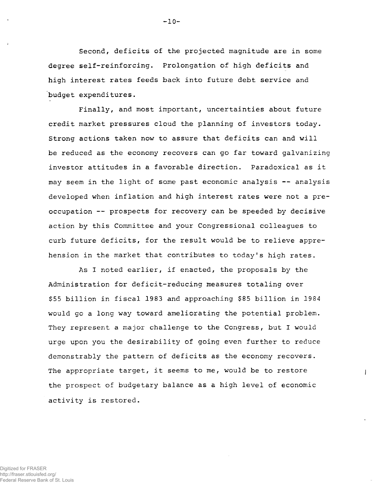Second, deficits of the projected magnitude are in some degree self-reinforcing. Prolongation of high deficits and high interest rates feeds back into future debt service and budget expenditures.

Finally, and most important, uncertainties about future credit market pressures cloud the planning of investors today. Strong actions taken now to assure that deficits can and will be reduced as the economy recovers can go far toward galvanizing investor attitudes in a favorable direction. Paradoxical as it may seem in the light of some past economic analysis — analysis developed when inflation and high interest rates were not a preoccupation — prospects for recovery can be speeded by decisive action by this Committee and your Congressional colleagues to curb future deficits, for the result would be to relieve apprehension in the market that contributes to today's high rates.

As I noted earlier, if enacted, the proposals by the Administration for deficit-reducing measures totaling over \$55 billion in fiscal 1983 and approaching \$85 billion in 1984 would go a long way toward ameliorating the potential problem. They represent a major challenge to the Congress, but I would urge upon you the desirability of going even further to reduce demonstrably the pattern of deficits as the economy recovers. The appropriate target, it seems to me, would be to restore the prospect of budgetary balance as a high level of economic activity is restored.

 $\overline{1}$ 

Digitized for FRASER http://fraser.stlouisfed.org/ Federal Reserve Bank of St. Louis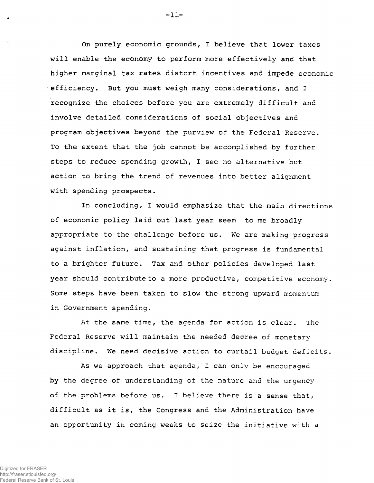On purely economic grounds, I believe that lower taxes will enable the economy to perform more effectively and that higher marginal tax rates distort incentives and impede economic efficiency. But you must weigh many considerations, and I recognize the choices before you are extremely difficult and involve detailed considerations of social objectives and program objectives beyond the purview of the Federal Reserve. To the extent that the job cannot be accomplished by further steps to reduce spending growth, I see no alternative but action to bring the trend of revenues into better alignment with spending prospects.

In concluding, I would emphasize that the main directions of economic policy laid out last year seem to me broadly appropriate to the challenge before us. We are making progress against inflation, and sustaining that progress is fundamental to a brighter future. Tax and other policies developed last year should contribute to a more productive, competitive economy. Some steps have been taken to slow the strong upward momentum in Government spending.

At the same time, the agenda for action is clear. The Federal Reserve will maintain the needed degree of monetary discipline. We need decisive action to curtail budget deficits.

As we approach that agenda, I can only be encouraged by the degree of understanding of the nature and the urgency of the problems before us. I believe there is a sense that, difficult as it is, the Congress and the Administration have an opportunity in coming weeks to seize the initiative with a

**-11 -**